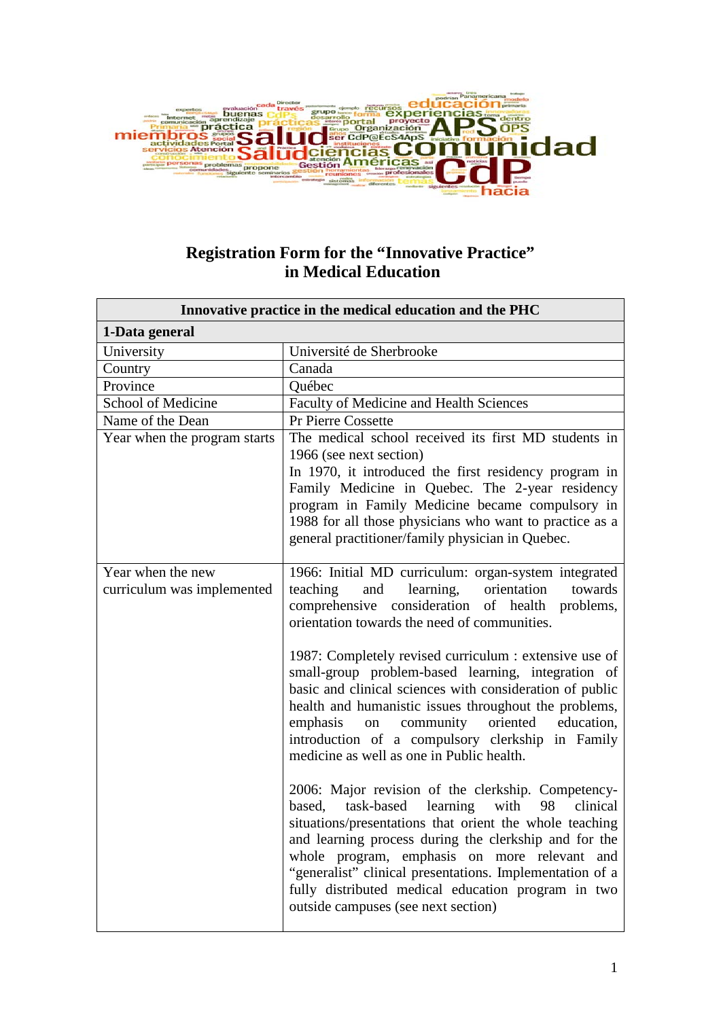

## **Registration Form for the "Innovative Practice" in Medical Education**

| Innovative practice in the medical education and the PHC |                                                                                                                                                                                                                                                                                                                                                                                                                                               |
|----------------------------------------------------------|-----------------------------------------------------------------------------------------------------------------------------------------------------------------------------------------------------------------------------------------------------------------------------------------------------------------------------------------------------------------------------------------------------------------------------------------------|
| 1-Data general                                           |                                                                                                                                                                                                                                                                                                                                                                                                                                               |
| University                                               | Université de Sherbrooke                                                                                                                                                                                                                                                                                                                                                                                                                      |
| Country                                                  | Canada                                                                                                                                                                                                                                                                                                                                                                                                                                        |
| Province                                                 | Québec                                                                                                                                                                                                                                                                                                                                                                                                                                        |
| School of Medicine                                       | Faculty of Medicine and Health Sciences                                                                                                                                                                                                                                                                                                                                                                                                       |
| Name of the Dean                                         | Pr Pierre Cossette                                                                                                                                                                                                                                                                                                                                                                                                                            |
| Year when the program starts                             | The medical school received its first MD students in<br>1966 (see next section)<br>In 1970, it introduced the first residency program in<br>Family Medicine in Quebec. The 2-year residency<br>program in Family Medicine became compulsory in<br>1988 for all those physicians who want to practice as a<br>general practitioner/family physician in Quebec.                                                                                 |
| Year when the new<br>curriculum was implemented          | 1966: Initial MD curriculum: organ-system integrated<br>teaching<br>learning,<br>orientation<br>towards<br>and<br>comprehensive<br>consideration of health<br>problems,<br>orientation towards the need of communities.                                                                                                                                                                                                                       |
|                                                          | 1987: Completely revised curriculum : extensive use of<br>small-group problem-based learning, integration of<br>basic and clinical sciences with consideration of public<br>health and humanistic issues throughout the problems,<br>community<br>oriented<br>education.<br>emphasis<br>on<br>introduction of a compulsory clerkship in Family<br>medicine as well as one in Public health.                                                   |
|                                                          | 2006: Major revision of the clerkship. Competency-<br>learning<br>based,<br>task-based<br>with<br>98<br>clinical<br>situations/presentations that orient the whole teaching<br>and learning process during the clerkship and for the<br>whole program, emphasis on more relevant and<br>"generalist" clinical presentations. Implementation of a<br>fully distributed medical education program in two<br>outside campuses (see next section) |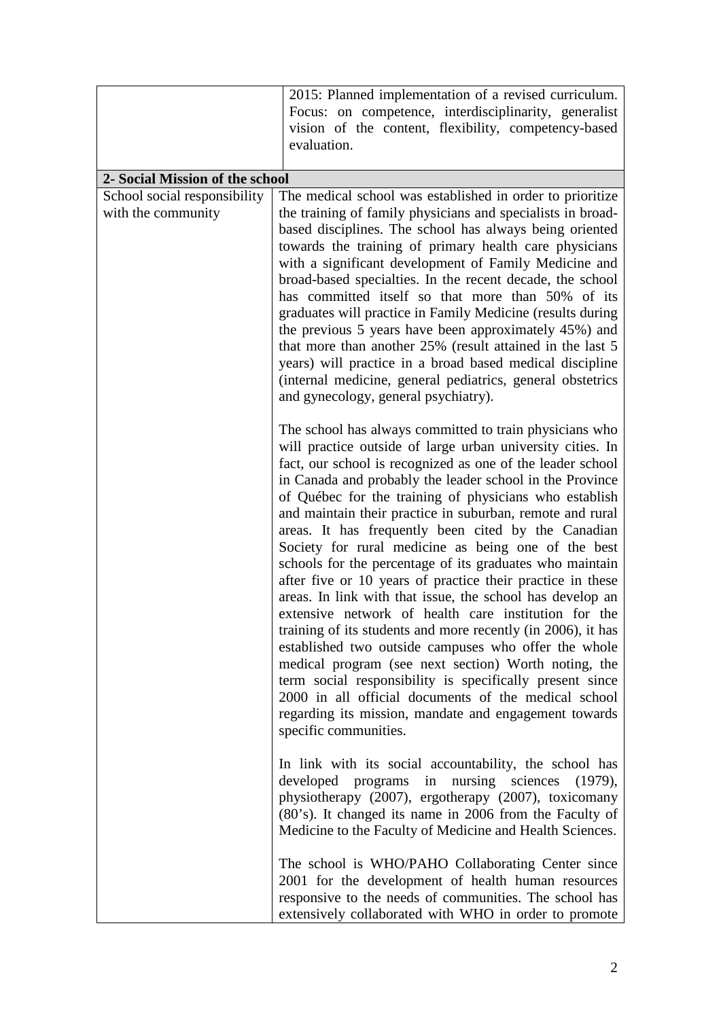|                                                    | 2015: Planned implementation of a revised curriculum.<br>Focus: on competence, interdisciplinarity, generalist<br>vision of the content, flexibility, competency-based<br>evaluation.                                                                                                                                                                                                                                                                                                                                                                                                                                                                                                                                                                                                                                                                                                                                                                                                                                                   |
|----------------------------------------------------|-----------------------------------------------------------------------------------------------------------------------------------------------------------------------------------------------------------------------------------------------------------------------------------------------------------------------------------------------------------------------------------------------------------------------------------------------------------------------------------------------------------------------------------------------------------------------------------------------------------------------------------------------------------------------------------------------------------------------------------------------------------------------------------------------------------------------------------------------------------------------------------------------------------------------------------------------------------------------------------------------------------------------------------------|
| 2- Social Mission of the school                    |                                                                                                                                                                                                                                                                                                                                                                                                                                                                                                                                                                                                                                                                                                                                                                                                                                                                                                                                                                                                                                         |
| School social responsibility<br>with the community | The medical school was established in order to prioritize<br>the training of family physicians and specialists in broad-<br>based disciplines. The school has always being oriented<br>towards the training of primary health care physicians<br>with a significant development of Family Medicine and<br>broad-based specialties. In the recent decade, the school<br>has committed itself so that more than 50% of its<br>graduates will practice in Family Medicine (results during<br>the previous 5 years have been approximately 45%) and<br>that more than another 25% (result attained in the last 5<br>years) will practice in a broad based medical discipline<br>(internal medicine, general pediatrics, general obstetrics<br>and gynecology, general psychiatry).                                                                                                                                                                                                                                                          |
|                                                    | The school has always committed to train physicians who<br>will practice outside of large urban university cities. In<br>fact, our school is recognized as one of the leader school<br>in Canada and probably the leader school in the Province<br>of Québec for the training of physicians who establish<br>and maintain their practice in suburban, remote and rural<br>areas. It has frequently been cited by the Canadian<br>Society for rural medicine as being one of the best<br>schools for the percentage of its graduates who maintain<br>after five or 10 years of practice their practice in these<br>areas. In link with that issue, the school has develop an<br>extensive network of health care institution for the<br>training of its students and more recently (in 2006), it has<br>established two outside campuses who offer the whole<br>medical program (see next section) Worth noting, the<br>term social responsibility is specifically present since<br>2000 in all official documents of the medical school |
|                                                    | regarding its mission, mandate and engagement towards<br>specific communities.<br>In link with its social accountability, the school has<br>developed programs in nursing sciences (1979),<br>physiotherapy (2007), ergotherapy (2007), toxicomany<br>(80's). It changed its name in 2006 from the Faculty of<br>Medicine to the Faculty of Medicine and Health Sciences.<br>The school is WHO/PAHO Collaborating Center since<br>2001 for the development of health human resources<br>responsive to the needs of communities. The school has<br>extensively collaborated with WHO in order to promote                                                                                                                                                                                                                                                                                                                                                                                                                                 |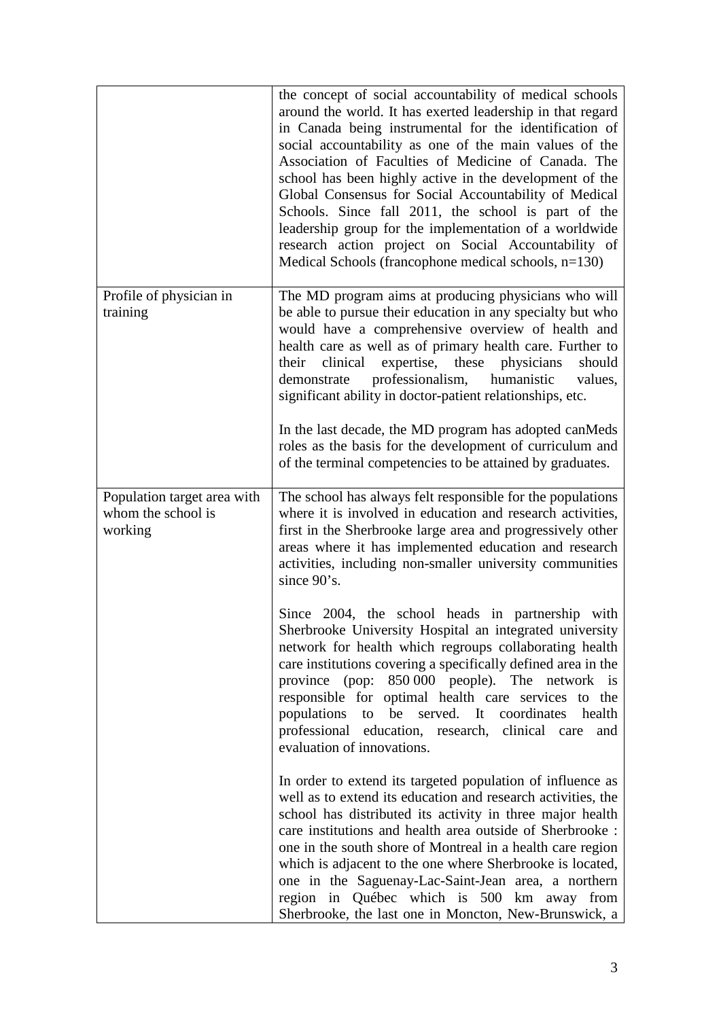|                                                              | the concept of social accountability of medical schools<br>around the world. It has exerted leadership in that regard<br>in Canada being instrumental for the identification of<br>social accountability as one of the main values of the<br>Association of Faculties of Medicine of Canada. The<br>school has been highly active in the development of the<br>Global Consensus for Social Accountability of Medical<br>Schools. Since fall 2011, the school is part of the<br>leadership group for the implementation of a worldwide<br>research action project on Social Accountability of<br>Medical Schools (francophone medical schools, $n=130$ ) |
|--------------------------------------------------------------|---------------------------------------------------------------------------------------------------------------------------------------------------------------------------------------------------------------------------------------------------------------------------------------------------------------------------------------------------------------------------------------------------------------------------------------------------------------------------------------------------------------------------------------------------------------------------------------------------------------------------------------------------------|
| Profile of physician in<br>training                          | The MD program aims at producing physicians who will<br>be able to pursue their education in any specialty but who<br>would have a comprehensive overview of health and<br>health care as well as of primary health care. Further to<br>expertise, these physicians<br>clinical<br>should<br>their<br>professionalism,<br>humanistic<br>values,<br>demonstrate<br>significant ability in doctor-patient relationships, etc.<br>In the last decade, the MD program has adopted can Meds<br>roles as the basis for the development of curriculum and<br>of the terminal competencies to be attained by graduates.                                         |
| Population target area with<br>whom the school is<br>working | The school has always felt responsible for the populations<br>where it is involved in education and research activities,<br>first in the Sherbrooke large area and progressively other<br>areas where it has implemented education and research<br>activities, including non-smaller university communities<br>since 90's.                                                                                                                                                                                                                                                                                                                              |
|                                                              | Since 2004, the school heads in partnership with<br>Sherbrooke University Hospital an integrated university<br>network for health which regroups collaborating health<br>care institutions covering a specifically defined area in the<br>province (pop: 850 000 people). The network is<br>responsible for optimal health care services to the<br>populations to be served. It coordinates<br>health<br>professional education, research, clinical care<br>and<br>evaluation of innovations.                                                                                                                                                           |
|                                                              | In order to extend its targeted population of influence as<br>well as to extend its education and research activities, the<br>school has distributed its activity in three major health<br>care institutions and health area outside of Sherbrooke :<br>one in the south shore of Montreal in a health care region<br>which is adjacent to the one where Sherbrooke is located,<br>one in the Saguenay-Lac-Saint-Jean area, a northern<br>region in Québec which is 500 km away from<br>Sherbrooke, the last one in Moncton, New-Brunswick, a                                                                                                           |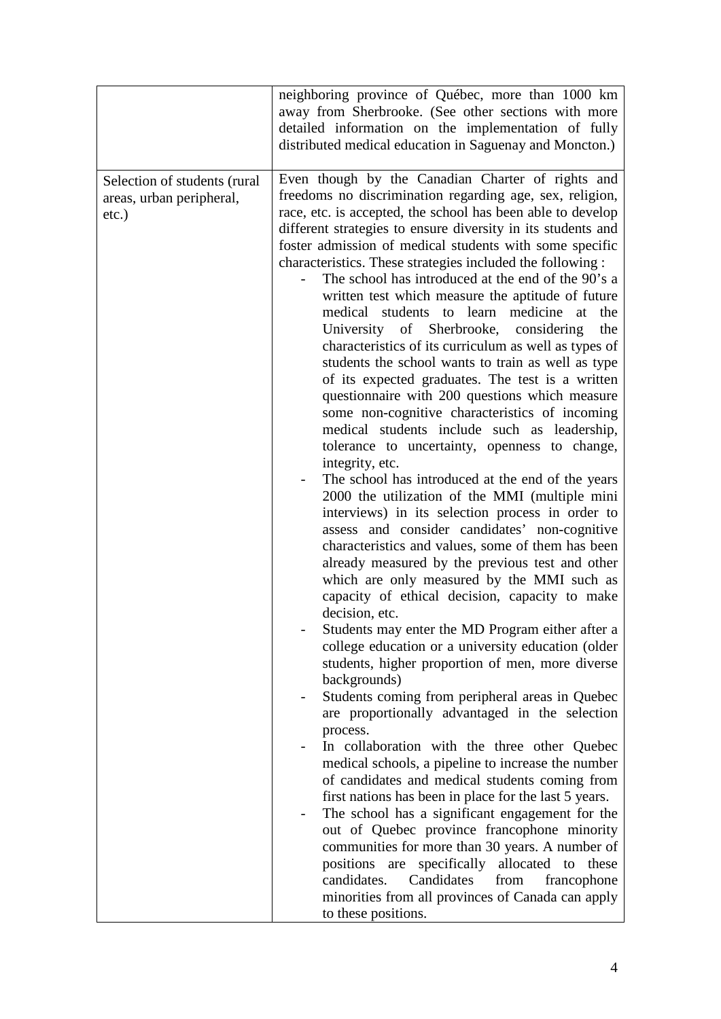|                                                                      | neighboring province of Québec, more than 1000 km<br>away from Sherbrooke. (See other sections with more<br>detailed information on the implementation of fully<br>distributed medical education in Saguenay and Moncton.)                                                                                                                                                                                                                                                                                                                                                                                                                                                                                                                                                                                                                                                                                                                                                                                                                                                                                                                                                                                                                                                                                                                                                                                                                                                                                                                                                                                                                                                                                                                                                                                                                                                                                                                                                                                                                                                                                                                                                                                                                                                                                    |
|----------------------------------------------------------------------|---------------------------------------------------------------------------------------------------------------------------------------------------------------------------------------------------------------------------------------------------------------------------------------------------------------------------------------------------------------------------------------------------------------------------------------------------------------------------------------------------------------------------------------------------------------------------------------------------------------------------------------------------------------------------------------------------------------------------------------------------------------------------------------------------------------------------------------------------------------------------------------------------------------------------------------------------------------------------------------------------------------------------------------------------------------------------------------------------------------------------------------------------------------------------------------------------------------------------------------------------------------------------------------------------------------------------------------------------------------------------------------------------------------------------------------------------------------------------------------------------------------------------------------------------------------------------------------------------------------------------------------------------------------------------------------------------------------------------------------------------------------------------------------------------------------------------------------------------------------------------------------------------------------------------------------------------------------------------------------------------------------------------------------------------------------------------------------------------------------------------------------------------------------------------------------------------------------------------------------------------------------------------------------------------------------|
| Selection of students (rural<br>areas, urban peripheral,<br>$etc.$ ) | Even though by the Canadian Charter of rights and<br>freedoms no discrimination regarding age, sex, religion,<br>race, etc. is accepted, the school has been able to develop<br>different strategies to ensure diversity in its students and<br>foster admission of medical students with some specific<br>characteristics. These strategies included the following :<br>The school has introduced at the end of the 90's a<br>written test which measure the aptitude of future<br>medical students to learn medicine at<br>the<br>University of Sherbrooke, considering<br>the<br>characteristics of its curriculum as well as types of<br>students the school wants to train as well as type<br>of its expected graduates. The test is a written<br>questionnaire with 200 questions which measure<br>some non-cognitive characteristics of incoming<br>medical students include such as leadership,<br>tolerance to uncertainty, openness to change,<br>integrity, etc.<br>The school has introduced at the end of the years<br>2000 the utilization of the MMI (multiple mini<br>interviews) in its selection process in order to<br>assess and consider candidates' non-cognitive<br>characteristics and values, some of them has been<br>already measured by the previous test and other<br>which are only measured by the MMI such as<br>capacity of ethical decision, capacity to make<br>decision, etc.<br>Students may enter the MD Program either after a<br>college education or a university education (older<br>students, higher proportion of men, more diverse<br>backgrounds)<br>Students coming from peripheral areas in Quebec<br>$\qquad \qquad \blacksquare$<br>are proportionally advantaged in the selection<br>process.<br>In collaboration with the three other Quebec<br>medical schools, a pipeline to increase the number<br>of candidates and medical students coming from<br>first nations has been in place for the last 5 years.<br>The school has a significant engagement for the<br>out of Quebec province francophone minority<br>communities for more than 30 years. A number of<br>positions are<br>specifically allocated to<br>these<br>candidates.<br>Candidates<br>from<br>francophone<br>minorities from all provinces of Canada can apply<br>to these positions. |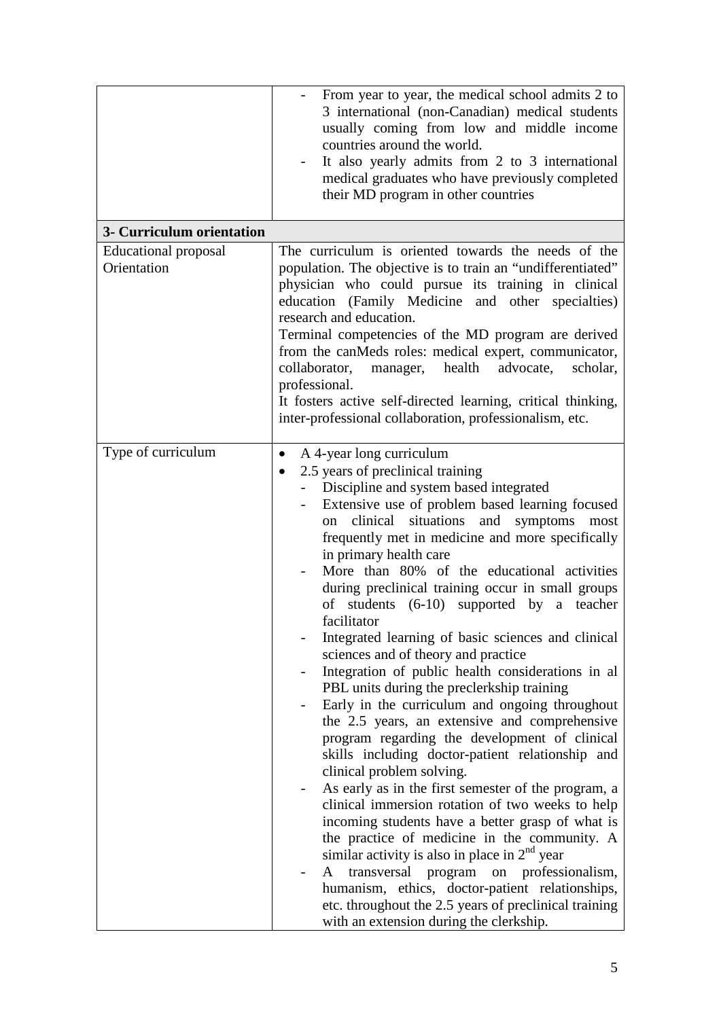|                                     | From year to year, the medical school admits 2 to<br>3 international (non-Canadian) medical students<br>usually coming from low and middle income<br>countries around the world.<br>It also yearly admits from 2 to 3 international<br>medical graduates who have previously completed<br>their MD program in other countries                                                                                                                                                                                                                                                                                                                                                                                                                                                                                                                                                                                                                                                                                                                                                                                                                                                                                                                                                                                                                                                                                    |
|-------------------------------------|------------------------------------------------------------------------------------------------------------------------------------------------------------------------------------------------------------------------------------------------------------------------------------------------------------------------------------------------------------------------------------------------------------------------------------------------------------------------------------------------------------------------------------------------------------------------------------------------------------------------------------------------------------------------------------------------------------------------------------------------------------------------------------------------------------------------------------------------------------------------------------------------------------------------------------------------------------------------------------------------------------------------------------------------------------------------------------------------------------------------------------------------------------------------------------------------------------------------------------------------------------------------------------------------------------------------------------------------------------------------------------------------------------------|
| 3- Curriculum orientation           |                                                                                                                                                                                                                                                                                                                                                                                                                                                                                                                                                                                                                                                                                                                                                                                                                                                                                                                                                                                                                                                                                                                                                                                                                                                                                                                                                                                                                  |
| Educational proposal<br>Orientation | The curriculum is oriented towards the needs of the<br>population. The objective is to train an "undifferentiated"<br>physician who could pursue its training in clinical<br>education (Family Medicine and other specialties)<br>research and education.<br>Terminal competencies of the MD program are derived<br>from the canMeds roles: medical expert, communicator,<br>collaborator,<br>manager, health<br>advocate,<br>scholar,<br>professional.<br>It fosters active self-directed learning, critical thinking,<br>inter-professional collaboration, professionalism, etc.                                                                                                                                                                                                                                                                                                                                                                                                                                                                                                                                                                                                                                                                                                                                                                                                                               |
| Type of curriculum                  | A 4-year long curriculum<br>$\bullet$<br>2.5 years of preclinical training<br>$\bullet$<br>Discipline and system based integrated<br>Extensive use of problem based learning focused<br>situations<br>clinical<br>and<br>symptoms<br>most<br>on<br>frequently met in medicine and more specifically<br>in primary health care<br>More than 80% of the educational activities<br>during preclinical training occur in small groups<br>of students $(6-10)$ supported by a teacher<br>facilitator<br>Integrated learning of basic sciences and clinical<br>sciences and of theory and practice<br>Integration of public health considerations in al<br>PBL units during the preclerkship training<br>Early in the curriculum and ongoing throughout<br>the 2.5 years, an extensive and comprehensive<br>program regarding the development of clinical<br>skills including doctor-patient relationship and<br>clinical problem solving.<br>As early as in the first semester of the program, a<br>clinical immersion rotation of two weeks to help<br>incoming students have a better grasp of what is<br>the practice of medicine in the community. A<br>similar activity is also in place in $2nd$ year<br>transversal<br>program on professionalism,<br>A<br>humanism, ethics, doctor-patient relationships,<br>etc. throughout the 2.5 years of preclinical training<br>with an extension during the clerkship. |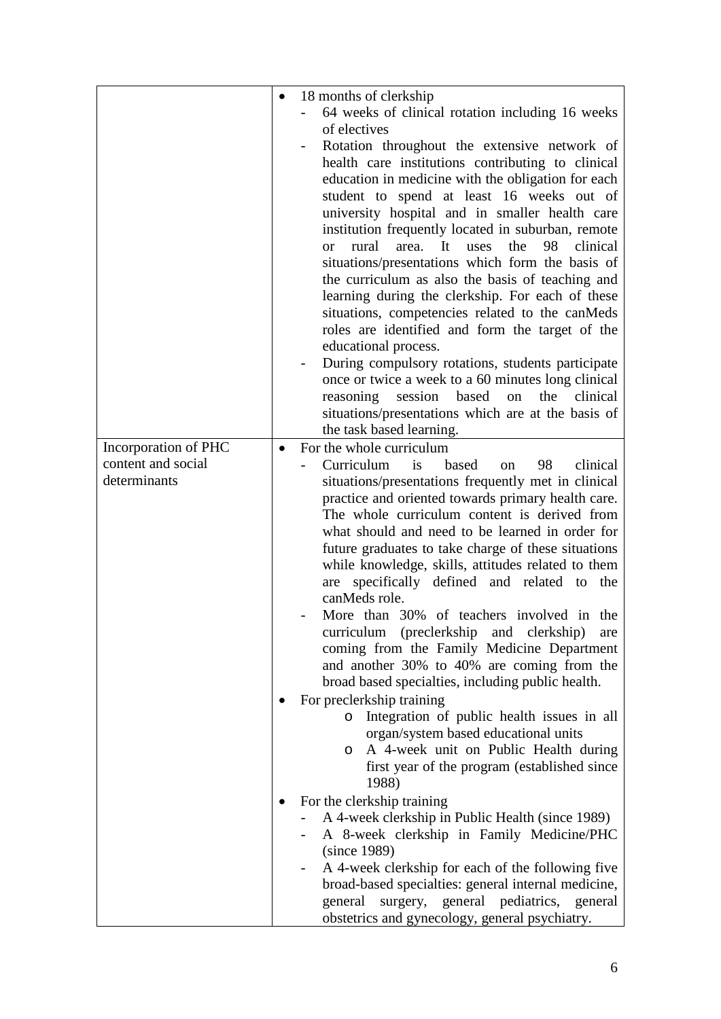|                                    | $\bullet$ | 18 months of clerkship                                                                             |
|------------------------------------|-----------|----------------------------------------------------------------------------------------------------|
|                                    |           | 64 weeks of clinical rotation including 16 weeks                                                   |
|                                    |           | of electives                                                                                       |
|                                    |           | Rotation throughout the extensive network of                                                       |
|                                    |           | health care institutions contributing to clinical                                                  |
|                                    |           | education in medicine with the obligation for each                                                 |
|                                    |           | student to spend at least 16 weeks out of                                                          |
|                                    |           | university hospital and in smaller health care                                                     |
|                                    |           | institution frequently located in suburban, remote                                                 |
|                                    |           | rural<br>It<br>the<br>98<br>clinical<br>area.<br><i>uses</i><br>or                                 |
|                                    |           | situations/presentations which form the basis of                                                   |
|                                    |           | the curriculum as also the basis of teaching and                                                   |
|                                    |           | learning during the clerkship. For each of these                                                   |
|                                    |           | situations, competencies related to the canMeds                                                    |
|                                    |           | roles are identified and form the target of the                                                    |
|                                    |           | educational process.                                                                               |
|                                    |           | During compulsory rotations, students participate                                                  |
|                                    |           | once or twice a week to a 60 minutes long clinical                                                 |
|                                    |           | session based<br>the<br>clinical<br>reasoning<br>on                                                |
|                                    |           | situations/presentations which are at the basis of                                                 |
|                                    |           | the task based learning.                                                                           |
| Incorporation of PHC               | $\bullet$ | For the whole curriculum                                                                           |
| content and social<br>determinants |           | based<br>Curriculum<br>is<br>98<br>clinical<br>on                                                  |
|                                    |           | situations/presentations frequently met in clinical                                                |
|                                    |           | practice and oriented towards primary health care.<br>The whole curriculum content is derived from |
|                                    |           | what should and need to be learned in order for                                                    |
|                                    |           | future graduates to take charge of these situations                                                |
|                                    |           | while knowledge, skills, attitudes related to them                                                 |
|                                    |           | are specifically defined and related to the                                                        |
|                                    |           | canMeds role.                                                                                      |
|                                    |           | More than 30% of teachers involved in the                                                          |
|                                    |           | curriculum (preclerkship and clerkship)<br>are                                                     |
|                                    |           | coming from the Family Medicine Department                                                         |
|                                    |           | and another 30% to 40% are coming from the                                                         |
|                                    |           | broad based specialties, including public health.                                                  |
|                                    |           | For preclerkship training                                                                          |
|                                    |           | o Integration of public health issues in all                                                       |
|                                    |           | organ/system based educational units                                                               |
|                                    |           | o A 4-week unit on Public Health during                                                            |
|                                    |           | first year of the program (established since                                                       |
|                                    |           | 1988)                                                                                              |
|                                    |           | For the clerkship training                                                                         |
|                                    |           | A 4-week clerkship in Public Health (since 1989)                                                   |
|                                    |           | A 8-week clerkship in Family Medicine/PHC                                                          |
|                                    |           | (since 1989)                                                                                       |
|                                    |           | A 4-week clerkship for each of the following five                                                  |
|                                    |           | broad-based specialties: general internal medicine,                                                |
|                                    |           | surgery, general pediatrics, general<br>general                                                    |
|                                    |           | obstetrics and gynecology, general psychiatry.                                                     |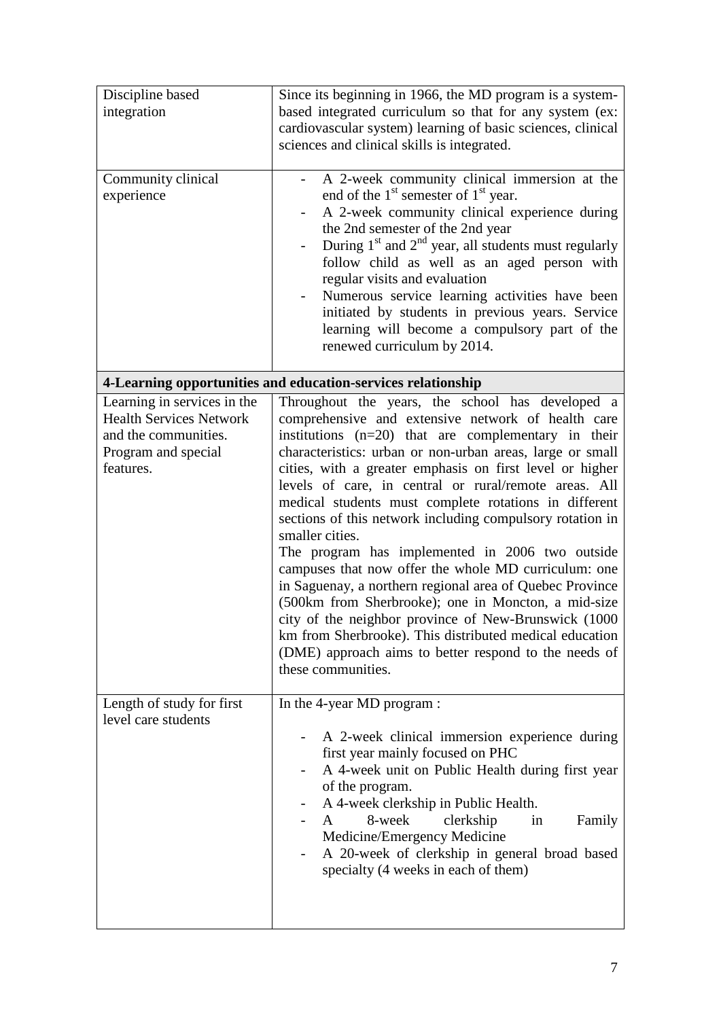| Discipline based<br>integration<br>Community clinical<br>experience                                                       | Since its beginning in 1966, the MD program is a system-<br>based integrated curriculum so that for any system (ex:<br>cardiovascular system) learning of basic sciences, clinical<br>sciences and clinical skills is integrated.<br>A 2-week community clinical immersion at the<br>end of the $1st$ semester of $1st$ year.<br>A 2-week community clinical experience during<br>the 2nd semester of the 2nd year<br>During $1st$ and $2nd$ year, all students must regularly<br>follow child as well as an aged person with                                                                                                                                                                                                                                                                                                                                                                                              |
|---------------------------------------------------------------------------------------------------------------------------|----------------------------------------------------------------------------------------------------------------------------------------------------------------------------------------------------------------------------------------------------------------------------------------------------------------------------------------------------------------------------------------------------------------------------------------------------------------------------------------------------------------------------------------------------------------------------------------------------------------------------------------------------------------------------------------------------------------------------------------------------------------------------------------------------------------------------------------------------------------------------------------------------------------------------|
|                                                                                                                           | regular visits and evaluation<br>Numerous service learning activities have been<br>initiated by students in previous years. Service<br>learning will become a compulsory part of the<br>renewed curriculum by 2014.                                                                                                                                                                                                                                                                                                                                                                                                                                                                                                                                                                                                                                                                                                        |
|                                                                                                                           | 4-Learning opportunities and education-services relationship                                                                                                                                                                                                                                                                                                                                                                                                                                                                                                                                                                                                                                                                                                                                                                                                                                                               |
| Learning in services in the<br><b>Health Services Network</b><br>and the communities.<br>Program and special<br>features. | Throughout the years, the school has developed a<br>comprehensive and extensive network of health care<br>institutions $(n=20)$ that are complementary in their<br>characteristics: urban or non-urban areas, large or small<br>cities, with a greater emphasis on first level or higher<br>levels of care, in central or rural/remote areas. All<br>medical students must complete rotations in different<br>sections of this network including compulsory rotation in<br>smaller cities.<br>The program has implemented in 2006 two outside<br>campuses that now offer the whole MD curriculum: one<br>in Saguenay, a northern regional area of Quebec Province<br>(500km from Sherbrooke); one in Moncton, a mid-size<br>city of the neighbor province of New-Brunswick (1000<br>km from Sherbrooke). This distributed medical education<br>(DME) approach aims to better respond to the needs of<br>these communities. |
| Length of study for first<br>level care students                                                                          | In the 4-year MD program :<br>A 2-week clinical immersion experience during<br>first year mainly focused on PHC<br>A 4-week unit on Public Health during first year<br>of the program.<br>A 4-week clerkship in Public Health.<br>8-week<br>clerkship<br>Family<br>A<br>in<br>Medicine/Emergency Medicine<br>A 20-week of clerkship in general broad based<br>specialty (4 weeks in each of them)                                                                                                                                                                                                                                                                                                                                                                                                                                                                                                                          |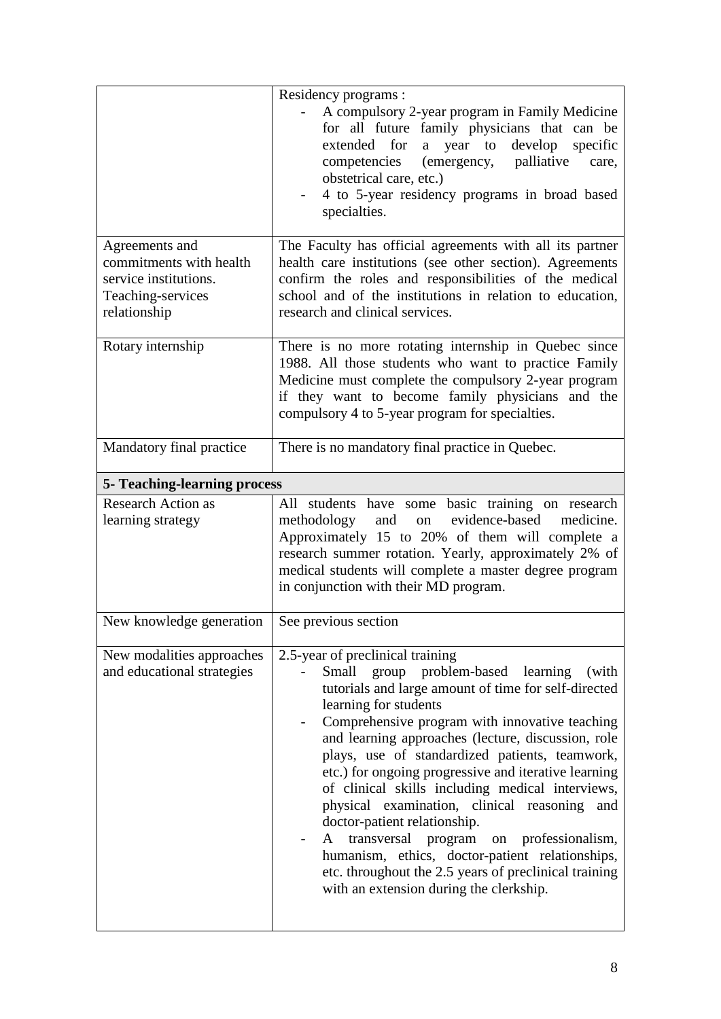|                                                                                                         | Residency programs :<br>A compulsory 2-year program in Family Medicine<br>for all future family physicians that can be<br>extended for<br>develop<br>a year to<br>specific<br>(emergency, palliative<br>competencies<br>care,<br>obstetrical care, etc.)<br>4 to 5-year residency programs in broad based<br>specialties.                                                                                                                                                                                                                                                                                                                                                                                                     |
|---------------------------------------------------------------------------------------------------------|-------------------------------------------------------------------------------------------------------------------------------------------------------------------------------------------------------------------------------------------------------------------------------------------------------------------------------------------------------------------------------------------------------------------------------------------------------------------------------------------------------------------------------------------------------------------------------------------------------------------------------------------------------------------------------------------------------------------------------|
| Agreements and<br>commitments with health<br>service institutions.<br>Teaching-services<br>relationship | The Faculty has official agreements with all its partner<br>health care institutions (see other section). Agreements<br>confirm the roles and responsibilities of the medical<br>school and of the institutions in relation to education,<br>research and clinical services.                                                                                                                                                                                                                                                                                                                                                                                                                                                  |
| Rotary internship                                                                                       | There is no more rotating internship in Quebec since<br>1988. All those students who want to practice Family<br>Medicine must complete the compulsory 2-year program<br>if they want to become family physicians and the<br>compulsory 4 to 5-year program for specialties.                                                                                                                                                                                                                                                                                                                                                                                                                                                   |
| Mandatory final practice                                                                                | There is no mandatory final practice in Quebec.                                                                                                                                                                                                                                                                                                                                                                                                                                                                                                                                                                                                                                                                               |
| <b>5- Teaching-learning process</b>                                                                     |                                                                                                                                                                                                                                                                                                                                                                                                                                                                                                                                                                                                                                                                                                                               |
| <b>Research Action as</b><br>learning strategy                                                          | All students have some basic training on research<br>and<br>evidence-based<br>methodology<br>medicine.<br>on<br>Approximately 15 to 20% of them will complete a<br>research summer rotation. Yearly, approximately 2% of<br>medical students will complete a master degree program<br>in conjunction with their MD program.                                                                                                                                                                                                                                                                                                                                                                                                   |
| New knowledge generation                                                                                | See previous section                                                                                                                                                                                                                                                                                                                                                                                                                                                                                                                                                                                                                                                                                                          |
| New modalities approaches<br>and educational strategies                                                 | 2.5-year of preclinical training<br>Small group problem-based learning (with<br>tutorials and large amount of time for self-directed<br>learning for students<br>Comprehensive program with innovative teaching<br>and learning approaches (lecture, discussion, role<br>plays, use of standardized patients, teamwork,<br>etc.) for ongoing progressive and iterative learning<br>of clinical skills including medical interviews,<br>physical examination, clinical reasoning<br>and<br>doctor-patient relationship.<br>transversal program on professionalism,<br>A<br>humanism, ethics, doctor-patient relationships,<br>etc. throughout the 2.5 years of preclinical training<br>with an extension during the clerkship. |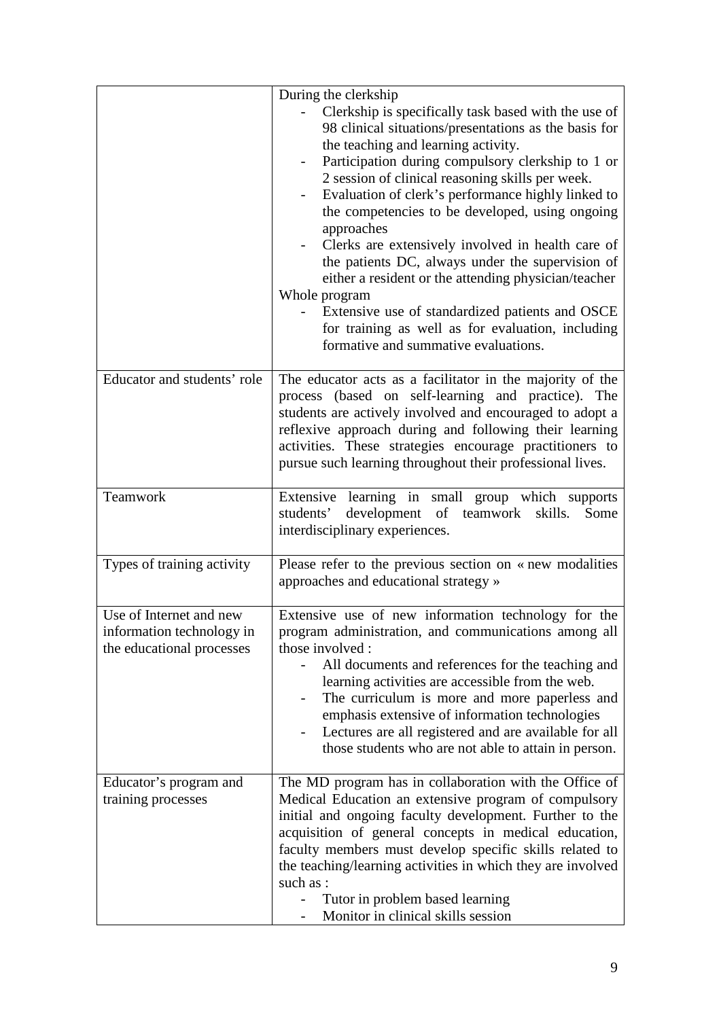|                                                                                   | During the clerkship<br>Clerkship is specifically task based with the use of<br>98 clinical situations/presentations as the basis for<br>the teaching and learning activity.<br>Participation during compulsory clerkship to 1 or<br>2 session of clinical reasoning skills per week.<br>Evaluation of clerk's performance highly linked to<br>the competencies to be developed, using ongoing<br>approaches<br>Clerks are extensively involved in health care of<br>the patients DC, always under the supervision of<br>either a resident or the attending physician/teacher<br>Whole program<br>Extensive use of standardized patients and OSCE<br>for training as well as for evaluation, including<br>formative and summative evaluations. |
|-----------------------------------------------------------------------------------|------------------------------------------------------------------------------------------------------------------------------------------------------------------------------------------------------------------------------------------------------------------------------------------------------------------------------------------------------------------------------------------------------------------------------------------------------------------------------------------------------------------------------------------------------------------------------------------------------------------------------------------------------------------------------------------------------------------------------------------------|
| Educator and students' role                                                       | The educator acts as a facilitator in the majority of the<br>process (based on self-learning and practice). The<br>students are actively involved and encouraged to adopt a<br>reflexive approach during and following their learning<br>activities. These strategies encourage practitioners to<br>pursue such learning throughout their professional lives.                                                                                                                                                                                                                                                                                                                                                                                  |
| Teamwork                                                                          | Extensive learning in small group which supports<br>students' development of teamwork skills.<br>Some<br>interdisciplinary experiences.                                                                                                                                                                                                                                                                                                                                                                                                                                                                                                                                                                                                        |
| Types of training activity                                                        | Please refer to the previous section on « new modalities<br>approaches and educational strategy »                                                                                                                                                                                                                                                                                                                                                                                                                                                                                                                                                                                                                                              |
| Use of Internet and new<br>information technology in<br>the educational processes | Extensive use of new information technology for the<br>program administration, and communications among all<br>those involved :<br>All documents and references for the teaching and<br>learning activities are accessible from the web.<br>The curriculum is more and more paperless and<br>emphasis extensive of information technologies<br>Lectures are all registered and are available for all<br>those students who are not able to attain in person.                                                                                                                                                                                                                                                                                   |
| Educator's program and<br>training processes                                      | The MD program has in collaboration with the Office of<br>Medical Education an extensive program of compulsory<br>initial and ongoing faculty development. Further to the<br>acquisition of general concepts in medical education,<br>faculty members must develop specific skills related to<br>the teaching/learning activities in which they are involved<br>such as :<br>Tutor in problem based learning<br>Monitor in clinical skills session                                                                                                                                                                                                                                                                                             |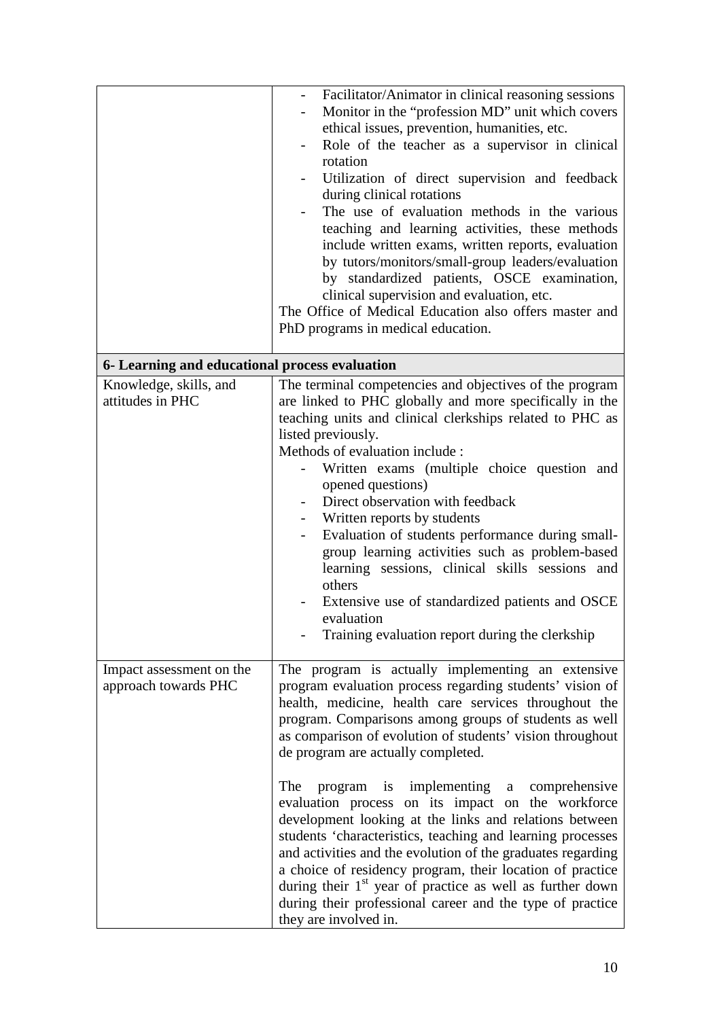|                                                  | Facilitator/Animator in clinical reasoning sessions<br>Monitor in the "profession MD" unit which covers<br>ethical issues, prevention, humanities, etc.<br>Role of the teacher as a supervisor in clinical<br>rotation<br>Utilization of direct supervision and feedback<br>during clinical rotations<br>The use of evaluation methods in the various<br>teaching and learning activities, these methods<br>include written exams, written reports, evaluation<br>by tutors/monitors/small-group leaders/evaluation<br>by standardized patients, OSCE examination,<br>clinical supervision and evaluation, etc.<br>The Office of Medical Education also offers master and<br>PhD programs in medical education.                                                                                                                                              |
|--------------------------------------------------|--------------------------------------------------------------------------------------------------------------------------------------------------------------------------------------------------------------------------------------------------------------------------------------------------------------------------------------------------------------------------------------------------------------------------------------------------------------------------------------------------------------------------------------------------------------------------------------------------------------------------------------------------------------------------------------------------------------------------------------------------------------------------------------------------------------------------------------------------------------|
| 6- Learning and educational process evaluation   |                                                                                                                                                                                                                                                                                                                                                                                                                                                                                                                                                                                                                                                                                                                                                                                                                                                              |
|                                                  |                                                                                                                                                                                                                                                                                                                                                                                                                                                                                                                                                                                                                                                                                                                                                                                                                                                              |
| Knowledge, skills, and<br>attitudes in PHC       | The terminal competencies and objectives of the program<br>are linked to PHC globally and more specifically in the<br>teaching units and clinical clerkships related to PHC as<br>listed previously.<br>Methods of evaluation include:<br>Written exams (multiple choice question and<br>opened questions)<br>Direct observation with feedback<br>Written reports by students<br>Evaluation of students performance during small-<br>group learning activities such as problem-based<br>learning sessions, clinical skills sessions and<br>others<br>Extensive use of standardized patients and OSCE<br>evaluation<br>Training evaluation report during the clerkship                                                                                                                                                                                        |
| Impact assessment on the<br>approach towards PHC | The program is actually implementing an extensive<br>program evaluation process regarding students' vision of<br>health, medicine, health care services throughout the<br>program. Comparisons among groups of students as well<br>as comparison of evolution of students' vision throughout<br>de program are actually completed.<br>program is implementing a comprehensive<br>The<br>evaluation process on its impact on the workforce<br>development looking at the links and relations between<br>students 'characteristics, teaching and learning processes<br>and activities and the evolution of the graduates regarding<br>a choice of residency program, their location of practice<br>during their 1 <sup>st</sup> year of practice as well as further down<br>during their professional career and the type of practice<br>they are involved in. |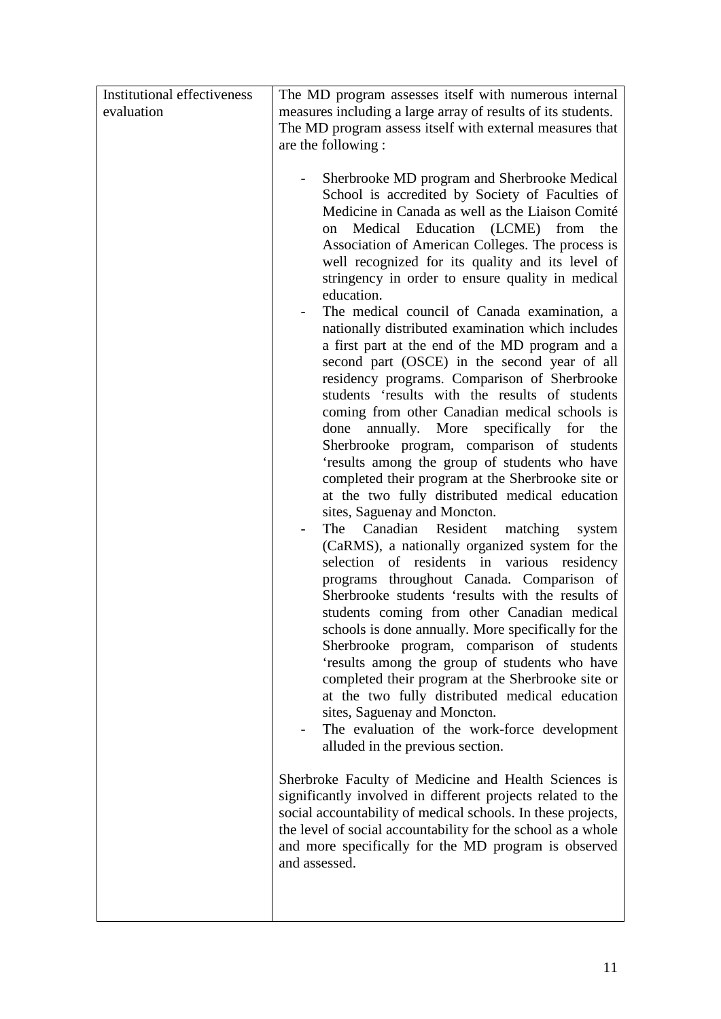| <b>Institutional effectiveness</b> | The MD program assesses itself with numerous internal                                                                                                                                                                                                                                                                                                                                                                                                                                                                                                                                                                                                                                                                                                                                                                                                                                                                                                                                                                                                                                                                                                                                                                                                                                                                                                                                                                                                                                                                                                                                                                                                                                                                                                                                                                                                                                                                                                                                                                                                         |
|------------------------------------|---------------------------------------------------------------------------------------------------------------------------------------------------------------------------------------------------------------------------------------------------------------------------------------------------------------------------------------------------------------------------------------------------------------------------------------------------------------------------------------------------------------------------------------------------------------------------------------------------------------------------------------------------------------------------------------------------------------------------------------------------------------------------------------------------------------------------------------------------------------------------------------------------------------------------------------------------------------------------------------------------------------------------------------------------------------------------------------------------------------------------------------------------------------------------------------------------------------------------------------------------------------------------------------------------------------------------------------------------------------------------------------------------------------------------------------------------------------------------------------------------------------------------------------------------------------------------------------------------------------------------------------------------------------------------------------------------------------------------------------------------------------------------------------------------------------------------------------------------------------------------------------------------------------------------------------------------------------------------------------------------------------------------------------------------------------|
| evaluation                         | measures including a large array of results of its students.                                                                                                                                                                                                                                                                                                                                                                                                                                                                                                                                                                                                                                                                                                                                                                                                                                                                                                                                                                                                                                                                                                                                                                                                                                                                                                                                                                                                                                                                                                                                                                                                                                                                                                                                                                                                                                                                                                                                                                                                  |
|                                    | The MD program assess itself with external measures that                                                                                                                                                                                                                                                                                                                                                                                                                                                                                                                                                                                                                                                                                                                                                                                                                                                                                                                                                                                                                                                                                                                                                                                                                                                                                                                                                                                                                                                                                                                                                                                                                                                                                                                                                                                                                                                                                                                                                                                                      |
|                                    |                                                                                                                                                                                                                                                                                                                                                                                                                                                                                                                                                                                                                                                                                                                                                                                                                                                                                                                                                                                                                                                                                                                                                                                                                                                                                                                                                                                                                                                                                                                                                                                                                                                                                                                                                                                                                                                                                                                                                                                                                                                               |
|                                    | are the following :<br>Sherbrooke MD program and Sherbrooke Medical<br>School is accredited by Society of Faculties of<br>Medicine in Canada as well as the Liaison Comité<br>Medical Education (LCME) from<br>the<br>on<br>Association of American Colleges. The process is<br>well recognized for its quality and its level of<br>stringency in order to ensure quality in medical<br>education.<br>The medical council of Canada examination, a<br>nationally distributed examination which includes<br>a first part at the end of the MD program and a<br>second part (OSCE) in the second year of all<br>residency programs. Comparison of Sherbrooke<br>students 'results with the results of students<br>coming from other Canadian medical schools is<br>annually. More specifically for the<br>done<br>Sherbrooke program, comparison of students<br>'results among the group of students who have<br>completed their program at the Sherbrooke site or<br>at the two fully distributed medical education<br>sites, Saguenay and Moncton.<br>The Canadian Resident matching system<br>(CaRMS), a nationally organized system for the<br>selection of residents in various residency<br>programs throughout Canada. Comparison of<br>Sherbrooke students 'results with the results of<br>students coming from other Canadian medical<br>schools is done annually. More specifically for the<br>Sherbrooke program, comparison of students<br>'results among the group of students who have<br>completed their program at the Sherbrooke site or<br>at the two fully distributed medical education<br>sites, Saguenay and Moncton.<br>The evaluation of the work-force development<br>alluded in the previous section.<br>Sherbroke Faculty of Medicine and Health Sciences is<br>significantly involved in different projects related to the<br>social accountability of medical schools. In these projects,<br>the level of social accountability for the school as a whole<br>and more specifically for the MD program is observed<br>and assessed. |
|                                    |                                                                                                                                                                                                                                                                                                                                                                                                                                                                                                                                                                                                                                                                                                                                                                                                                                                                                                                                                                                                                                                                                                                                                                                                                                                                                                                                                                                                                                                                                                                                                                                                                                                                                                                                                                                                                                                                                                                                                                                                                                                               |
|                                    |                                                                                                                                                                                                                                                                                                                                                                                                                                                                                                                                                                                                                                                                                                                                                                                                                                                                                                                                                                                                                                                                                                                                                                                                                                                                                                                                                                                                                                                                                                                                                                                                                                                                                                                                                                                                                                                                                                                                                                                                                                                               |